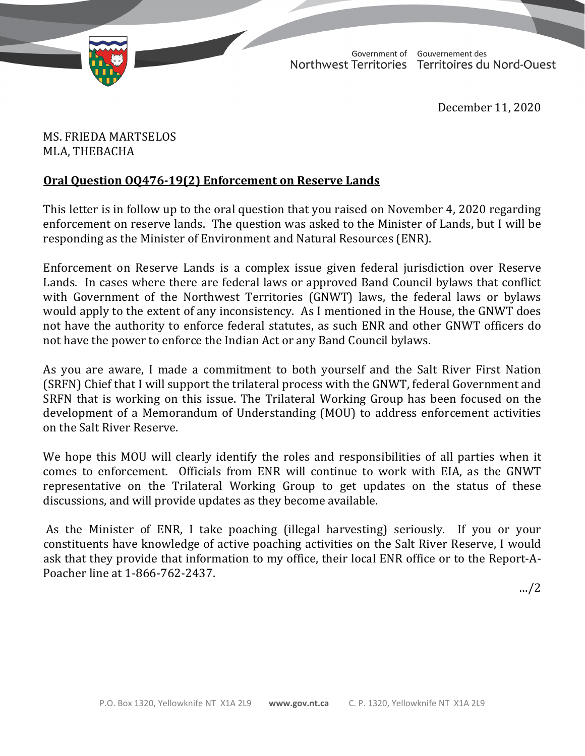

TD 274-19(2) TABLED ON FEBRUARY 3, 2021

Government of Gouvernement des Northwest Territories Territoires du Nord-Ouest

December 11, 2020

MS. FRIEDA MARTSELOS MLA, THEBACHA

## **Oral Question OQ476-19(2) Enforcement on Reserve Lands**

This letter is in follow up to the oral question that you raised on November 4, 2020 regarding enforcement on reserve lands. The question was asked to the Minister of Lands, but I will be responding as the Minister of Environment and Natural Resources (ENR).

Enforcement on Reserve Lands is a complex issue given federal jurisdiction over Reserve Lands. In cases where there are federal laws or approved Band Council bylaws that conflict with Government of the Northwest Territories (GNWT) laws, the federal laws or bylaws would apply to the extent of any inconsistency. As I mentioned in the House, the GNWT does not have the authority to enforce federal statutes, as such ENR and other GNWT officers do not have the power to enforce the Indian Act or any Band Council bylaws.

As you are aware, I made a commitment to both yourself and the Salt River First Nation (SRFN) Chief that I will support the trilateral process with the GNWT, federal Government and SRFN that is working on this issue. The Trilateral Working Group has been focused on the development of a Memorandum of Understanding (MOU) to address enforcement activities on the Salt River Reserve.

We hope this MOU will clearly identify the roles and responsibilities of all parties when it comes to enforcement. Officials from ENR will continue to work with EIA, as the GNWT representative on the Trilateral Working Group to get updates on the status of these discussions, and will provide updates as they become available.

As the Minister of ENR, I take poaching (illegal harvesting) seriously. If you or your constituents have knowledge of active poaching activities on the Salt River Reserve, I would ask that they provide that information to my office, their local ENR office or to the Report-A-Poacher line at 1-866-762-2437.

…/2